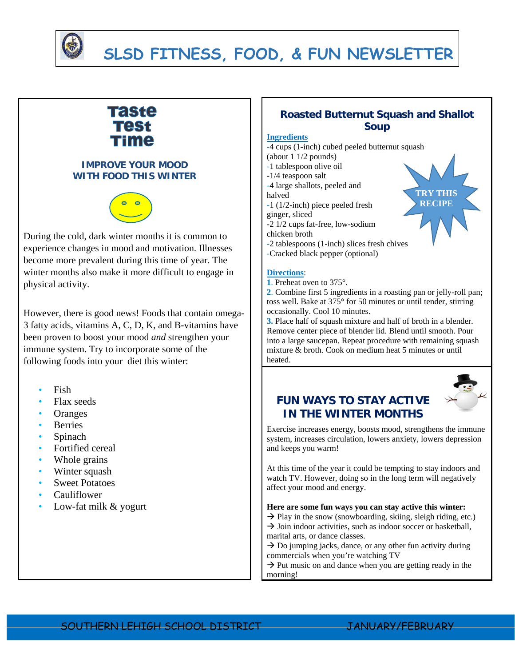

## **SLSD FITNESS, FOOD, & FUN NEWSLETTER**

# Taste Time

### **IMPROVE YOUR MOOD WITH FOOD THIS WINTER**



During the cold, dark winter months it is common to experience changes in mood and motivation. Illnesses become more prevalent during this time of year. The winter months also make it more difficult to engage in physical activity.

However, there is good news! Foods that contain omega-3 fatty acids, vitamins A, C, D, K, and B-vitamins have been proven to boost your mood *and* strengthen your immune system. Try to incorporate some of the following foods into your diet this winter:

- Fish
- Flax seeds
- **Oranges**
- Berries
- Spinach
- Fortified cereal
- Whole grains
- Winter squash
- **Sweet Potatoes**
- Cauliflower
- Low-fat milk & yogurt

### **Roasted Butternut Squash and Shallot Soup**

#### **Ingredients**

-4 cups (1-inch) cubed peeled butternut squash (about 1 1/2 pounds)

- -1 tablespoon olive oil
- -1/4 teaspoon salt
- -4 large shallots, peeled and
- halved
- -1 (1/2-inch) piece peeled fresh
- ginger, sliced

-2 1/2 cups fat-free, low-sodium

- chicken broth
- -2 tablespoons (1-inch) slices fresh chives
- -Cracked black pepper (optional)

#### **Directions**:

**1**. Preheat oven to 375°.

**2**. Combine first 5 ingredients in a roasting pan or jelly-roll pan; toss well. Bake at 375° for 50 minutes or until tender, stirring occasionally. Cool 10 minutes.

**3.** Place half of squash mixture and half of broth in a blender. Remove center piece of blender lid. Blend until smooth. Pour into a large saucepan. Repeat procedure with remaining squash mixture & broth. Cook on medium heat 5 minutes or until heated.



## **FUN WAYS TO STAY ACTIVE IN THE WINTER MONTHS**

Exercise increases energy, boosts mood, strengthens the immune system, increases circulation, lowers anxiety, lowers depression and keeps you warm!

At this time of the year it could be tempting to stay indoors and watch TV. However, doing so in the long term will negatively affect your mood and energy.

**Here are some fun ways you can stay active this winter:**   $\rightarrow$  Play in the snow (snowboarding, skiing, sleigh riding, etc.)

 $\rightarrow$  Join indoor activities, such as indoor soccer or basketball, marital arts, or dance classes.

 $\rightarrow$  Do jumping jacks, dance, or any other fun activity during commercials when you're watching TV

 $\rightarrow$  Put music on and dance when you are getting ready in the morning!